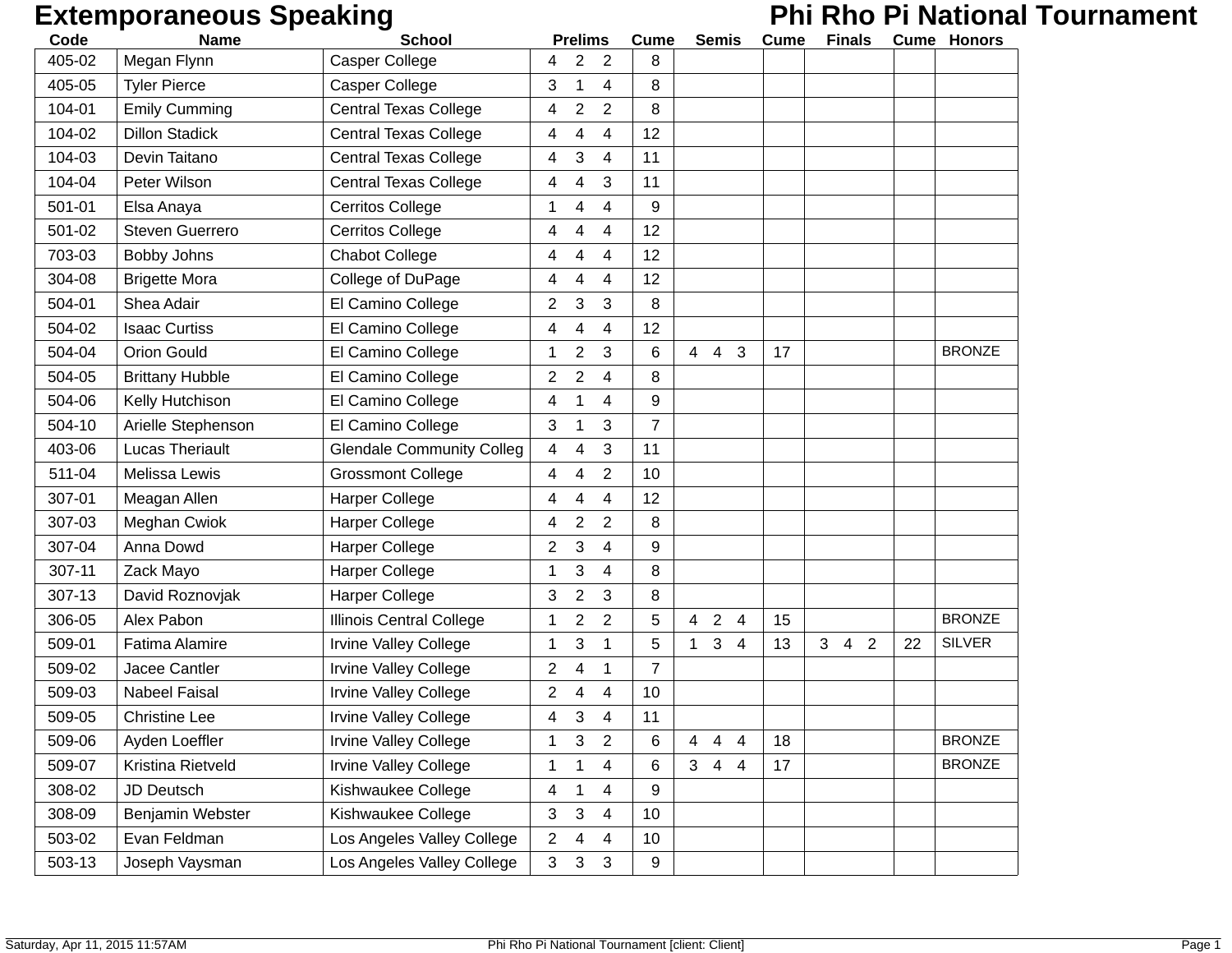# **Extemporaneous Speaking Phi Rho Pi National Tournament**

| Code   | <b>Name</b>            | <b>School</b>                    |                         | <b>Prelims</b>          |                | <b>Cume</b>    |                | <b>Semis</b>                     | Cume | <b>Finals</b>                    |                |    | <b>Cume Honors</b> |
|--------|------------------------|----------------------------------|-------------------------|-------------------------|----------------|----------------|----------------|----------------------------------|------|----------------------------------|----------------|----|--------------------|
| 405-02 | Megan Flynn            | <b>Casper College</b>            | 4                       | 2                       | $\overline{2}$ | 8              |                |                                  |      |                                  |                |    |                    |
| 405-05 | <b>Tyler Pierce</b>    | Casper College                   | 3                       | 1                       | 4              | 8              |                |                                  |      |                                  |                |    |                    |
| 104-01 | <b>Emily Cumming</b>   | <b>Central Texas College</b>     | 4                       | $\overline{\mathbf{c}}$ | $\overline{2}$ | 8              |                |                                  |      |                                  |                |    |                    |
| 104-02 | <b>Dillon Stadick</b>  | <b>Central Texas College</b>     | 4                       | 4                       | 4              | 12             |                |                                  |      |                                  |                |    |                    |
| 104-03 | Devin Taitano          | <b>Central Texas College</b>     | 4                       | 3                       | 4              | 11             |                |                                  |      |                                  |                |    |                    |
| 104-04 | Peter Wilson           | <b>Central Texas College</b>     | 4                       | 4                       | 3              | 11             |                |                                  |      |                                  |                |    |                    |
| 501-01 | Elsa Anaya             | <b>Cerritos College</b>          | 1                       | 4                       | 4              | 9              |                |                                  |      |                                  |                |    |                    |
| 501-02 | <b>Steven Guerrero</b> | <b>Cerritos College</b>          | 4                       | 4                       | 4              | 12             |                |                                  |      |                                  |                |    |                    |
| 703-03 | Bobby Johns            | <b>Chabot College</b>            | 4                       | 4                       | 4              | 12             |                |                                  |      |                                  |                |    |                    |
| 304-08 | <b>Brigette Mora</b>   | College of DuPage                | 4                       | 4                       | 4              | 12             |                |                                  |      |                                  |                |    |                    |
| 504-01 | Shea Adair             | El Camino College                | 2                       | 3                       | 3              | 8              |                |                                  |      |                                  |                |    |                    |
| 504-02 | <b>Isaac Curtiss</b>   | El Camino College                | 4                       | 4                       | 4              | 12             |                |                                  |      |                                  |                |    |                    |
| 504-04 | <b>Orion Gould</b>     | El Camino College                | 1                       | $\overline{\mathbf{c}}$ | 3              | 6              | $\overline{4}$ | 4<br>3                           | 17   |                                  |                |    | <b>BRONZE</b>      |
| 504-05 | <b>Brittany Hubble</b> | El Camino College                | $\overline{2}$          | $\overline{2}$          | 4              | 8              |                |                                  |      |                                  |                |    |                    |
| 504-06 | Kelly Hutchison        | El Camino College                | 4                       |                         | 4              | 9              |                |                                  |      |                                  |                |    |                    |
| 504-10 | Arielle Stephenson     | El Camino College                | 3                       | 1                       | 3              | $\overline{7}$ |                |                                  |      |                                  |                |    |                    |
| 403-06 | <b>Lucas Theriault</b> | <b>Glendale Community Colleg</b> | 4                       | 4                       | 3              | 11             |                |                                  |      |                                  |                |    |                    |
| 511-04 | Melissa Lewis          | <b>Grossmont College</b>         | 4                       | 4                       | $\overline{2}$ | 10             |                |                                  |      |                                  |                |    |                    |
| 307-01 | Meagan Allen           | <b>Harper College</b>            | 4                       | 4                       | 4              | 12             |                |                                  |      |                                  |                |    |                    |
| 307-03 | Meghan Cwiok           | <b>Harper College</b>            | 4                       | $\overline{\mathbf{c}}$ | 2              | 8              |                |                                  |      |                                  |                |    |                    |
| 307-04 | Anna Dowd              | Harper College                   | 2                       | 3                       | 4              | 9              |                |                                  |      |                                  |                |    |                    |
| 307-11 | Zack Mayo              | Harper College                   | 1                       | 3                       | 4              | 8              |                |                                  |      |                                  |                |    |                    |
| 307-13 | David Roznovjak        | <b>Harper College</b>            | 3                       | $\overline{\mathbf{c}}$ | 3              | 8              |                |                                  |      |                                  |                |    |                    |
| 306-05 | Alex Pabon             | Illinois Central College         | 1                       | 2                       | $\overline{2}$ | 5              | $\overline{4}$ | 2<br>4                           | 15   |                                  |                |    | <b>BRONZE</b>      |
| 509-01 | <b>Fatima Alamire</b>  | <b>Irvine Valley College</b>     | 1                       | 3                       | 1              | 5              | $\mathbf{1}$   | 3<br>4                           | 13   | 3 <sup>1</sup><br>$\overline{4}$ | $\overline{2}$ | 22 | <b>SILVER</b>      |
| 509-02 | Jacee Cantler          | <b>Irvine Valley College</b>     | $\overline{\mathbf{c}}$ | 4                       | 1              | $\overline{7}$ |                |                                  |      |                                  |                |    |                    |
| 509-03 | Nabeel Faisal          | Irvine Valley College            | $\overline{2}$          | 4                       | 4              | 10             |                |                                  |      |                                  |                |    |                    |
| 509-05 | <b>Christine Lee</b>   | <b>Irvine Valley College</b>     | 4                       | 3                       | 4              | 11             |                |                                  |      |                                  |                |    |                    |
| 509-06 | Ayden Loeffler         | <b>Irvine Valley College</b>     | 1                       | 3                       | $\overline{2}$ | 6              | 4              | $\overline{4}$<br>$\overline{4}$ | 18   |                                  |                |    | <b>BRONZE</b>      |
| 509-07 | Kristina Rietveld      | Irvine Valley College            | 1                       | 1                       | 4              | 6              | 3 <sup>1</sup> | 44                               | 17   |                                  |                |    | <b>BRONZE</b>      |
| 308-02 | JD Deutsch             | Kishwaukee College               | 4                       | 1                       | 4              | 9              |                |                                  |      |                                  |                |    |                    |
| 308-09 | Benjamin Webster       | Kishwaukee College               | 3                       | 3                       | 4              | 10             |                |                                  |      |                                  |                |    |                    |
| 503-02 | Evan Feldman           | Los Angeles Valley College       | $\overline{2}$          | 4                       | 4              | 10             |                |                                  |      |                                  |                |    |                    |
| 503-13 | Joseph Vaysman         | Los Angeles Valley College       | 3                       | 3                       | 3              | 9              |                |                                  |      |                                  |                |    |                    |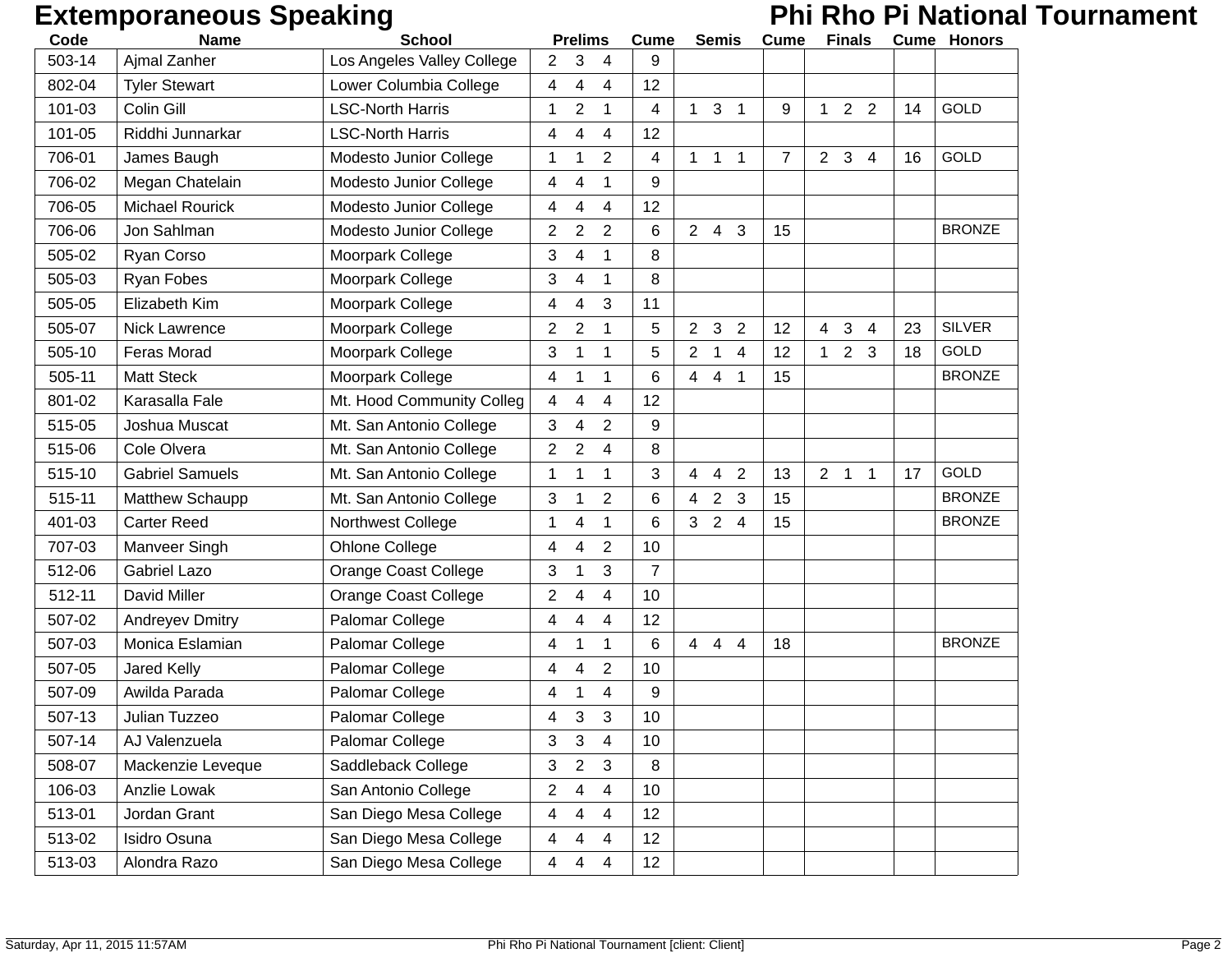# **Extemporaneous Speaking Phi Rho Pi National Tournament**

| Code   | <b>Name</b>            | <b>School</b>               |                | <b>Prelims</b>          |                         | Cume           |                | <b>Semis</b>   |                | <b>Cume</b> |              | <b>Finals</b> |                |    | <b>Cume Honors</b> |
|--------|------------------------|-----------------------------|----------------|-------------------------|-------------------------|----------------|----------------|----------------|----------------|-------------|--------------|---------------|----------------|----|--------------------|
| 503-14 | Ajmal Zanher           | Los Angeles Valley College  | $\overline{2}$ | 3                       | 4                       | 9              |                |                |                |             |              |               |                |    |                    |
| 802-04 | <b>Tyler Stewart</b>   | Lower Columbia College      | 4              | 4                       | 4                       | 12             |                |                |                |             |              |               |                |    |                    |
| 101-03 | Colin Gill             | <b>LSC-North Harris</b>     | 1              | $\overline{\mathbf{c}}$ | 1                       | 4              | $\mathbf{1}$   | 3              | $\overline{1}$ | 9           | $\mathbf 1$  | $2^{\circ}$   | $\overline{2}$ | 14 | GOLD               |
| 101-05 | Riddhi Junnarkar       | <b>LSC-North Harris</b>     | 4              | 4                       | 4                       | 12             |                |                |                |             |              |               |                |    |                    |
| 706-01 | James Baugh            | Modesto Junior College      | 1              | 1                       | $\overline{2}$          | 4              | 1              | $\mathbf{1}$   | $\mathbf{1}$   | 7           | $2^{\circ}$  | $\mathbf{3}$  | $\overline{4}$ | 16 | GOLD               |
| 706-02 | Megan Chatelain        | Modesto Junior College      | 4              | 4                       | 1                       | 9              |                |                |                |             |              |               |                |    |                    |
| 706-05 | <b>Michael Rourick</b> | Modesto Junior College      | 4              | 4                       | 4                       | 12             |                |                |                |             |              |               |                |    |                    |
| 706-06 | Jon Sahlman            | Modesto Junior College      | $\overline{2}$ | $\overline{\mathbf{c}}$ | $\overline{2}$          | 6              |                | $2 \quad 4$    | 3              | 15          |              |               |                |    | <b>BRONZE</b>      |
| 505-02 | Ryan Corso             | Moorpark College            | 3              | 4                       | 1                       | 8              |                |                |                |             |              |               |                |    |                    |
| 505-03 | Ryan Fobes             | Moorpark College            | 3              | 4                       | 1                       | 8              |                |                |                |             |              |               |                |    |                    |
| 505-05 | Elizabeth Kim          | Moorpark College            | 4              | 4                       | 3                       | 11             |                |                |                |             |              |               |                |    |                    |
| 505-07 | Nick Lawrence          | Moorpark College            | $\overline{2}$ | 2                       | 1                       | 5              | $\overline{2}$ | 3              | $\overline{2}$ | 12          | 4            | 3             | $\overline{4}$ | 23 | <b>SILVER</b>      |
| 505-10 | Feras Morad            | Moorpark College            | 3              | 1                       | 1                       | 5              | $\overline{2}$ | $\mathbf 1$    | 4              | 12          | $\mathbf{1}$ | $2^{\circ}$   | 3              | 18 | GOLD               |
| 505-11 | <b>Matt Steck</b>      | Moorpark College            | 4              | 1                       | 1                       | 6              |                | 44             | $\mathbf 1$    | 15          |              |               |                |    | <b>BRONZE</b>      |
| 801-02 | Karasalla Fale         | Mt. Hood Community Colleg   | 4              | 4                       | 4                       | 12             |                |                |                |             |              |               |                |    |                    |
| 515-05 | Joshua Muscat          | Mt. San Antonio College     | 3              | 4                       | $\overline{2}$          | 9              |                |                |                |             |              |               |                |    |                    |
| 515-06 | Cole Olvera            | Mt. San Antonio College     | $\overline{2}$ | $\overline{2}$          | 4                       | 8              |                |                |                |             |              |               |                |    |                    |
| 515-10 | <b>Gabriel Samuels</b> | Mt. San Antonio College     | 1              | 1                       | 1                       | 3              | 4              | 4              | $\overline{2}$ | 13          |              | $2 \quad 1$   | $\mathbf 1$    | 17 | <b>GOLD</b>        |
| 515-11 | Matthew Schaupp        | Mt. San Antonio College     | 3              | 1                       | 2                       | 6              | 4              | $\overline{2}$ | 3              | 15          |              |               |                |    | <b>BRONZE</b>      |
| 401-03 | <b>Carter Reed</b>     | Northwest College           | 1              | 4                       | 1                       | 6              | 3 <sup>1</sup> | 2              | $\overline{4}$ | 15          |              |               |                |    | <b>BRONZE</b>      |
| 707-03 | Manveer Singh          | Ohlone College              | 4              | 4                       | $\overline{2}$          | 10             |                |                |                |             |              |               |                |    |                    |
| 512-06 | <b>Gabriel Lazo</b>    | <b>Orange Coast College</b> | 3              | 1                       | 3                       | $\overline{7}$ |                |                |                |             |              |               |                |    |                    |
| 512-11 | David Miller           | <b>Orange Coast College</b> | 2              | 4                       | 4                       | 10             |                |                |                |             |              |               |                |    |                    |
| 507-02 | <b>Andreyev Dmitry</b> | Palomar College             | 4              | 4                       | 4                       | 12             |                |                |                |             |              |               |                |    |                    |
| 507-03 | Monica Eslamian        | Palomar College             | 4              | 1                       | 1                       | 6              | $\overline{4}$ | $\overline{4}$ | $\overline{4}$ | 18          |              |               |                |    | <b>BRONZE</b>      |
| 507-05 | Jared Kelly            | Palomar College             | 4              | 4                       | $\overline{2}$          | 10             |                |                |                |             |              |               |                |    |                    |
| 507-09 | Awilda Parada          | Palomar College             | 4              | 1                       | 4                       | 9              |                |                |                |             |              |               |                |    |                    |
| 507-13 | Julian Tuzzeo          | Palomar College             | 4              | 3                       | 3                       | 10             |                |                |                |             |              |               |                |    |                    |
| 507-14 | AJ Valenzuela          | Palomar College             | 3              | 3                       | 4                       | 10             |                |                |                |             |              |               |                |    |                    |
| 508-07 | Mackenzie Leveque      | Saddleback College          | 3              | $\overline{2}$          | 3                       | 8              |                |                |                |             |              |               |                |    |                    |
| 106-03 | Anzlie Lowak           | San Antonio College         | 2              | 4                       | 4                       | 10             |                |                |                |             |              |               |                |    |                    |
| 513-01 | Jordan Grant           | San Diego Mesa College      | 4              | 4                       | 4                       | 12             |                |                |                |             |              |               |                |    |                    |
| 513-02 | Isidro Osuna           | San Diego Mesa College      | 4              | 4                       | 4                       | 12             |                |                |                |             |              |               |                |    |                    |
| 513-03 | Alondra Razo           | San Diego Mesa College      | 4              | 4                       | $\overline{\mathbf{4}}$ | 12             |                |                |                |             |              |               |                |    |                    |